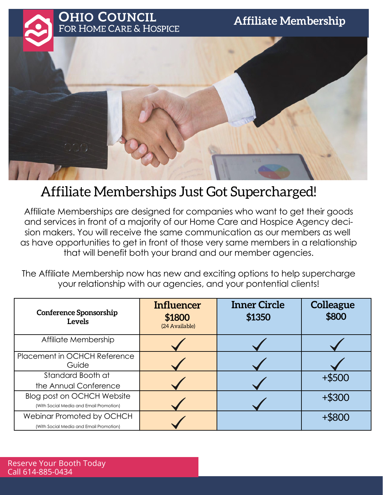## **Affiliate Membership**



## Affiliate Memberships Just Got Supercharged!

Affiliate Memberships are designed for companies who want to get their goods and services in front of a majority of our Home Care and Hospice Agency decision makers. You will receive the same communication as our members as well as have opportunities to get in front of those very same members in a relationship that will benefit both your brand and our member agencies.

The Affiliate Membership now has new and exciting options to help supercharge your relationship with our agencies, and your pontential clients!

| <b>Conference Sponsorship</b><br>Levels                               | Influencer<br>\$1800<br>(24 Available) | <b>Inner Circle</b><br>\$1350 | <b>Colleague</b><br>\$800 |
|-----------------------------------------------------------------------|----------------------------------------|-------------------------------|---------------------------|
| Affiliate Membership                                                  |                                        |                               |                           |
| Placement in OCHCH Reference<br>Guide                                 |                                        |                               |                           |
| Standard Booth at<br>the Annual Conference                            |                                        |                               | $+$ \$500                 |
| Blog post on OCHCH Website<br>(With Social Media and Email Promotion) |                                        |                               | $+$ \$300                 |
| Webinar Promoted by OCHCH<br>(With Social Media and Email Promotion)  |                                        |                               |                           |